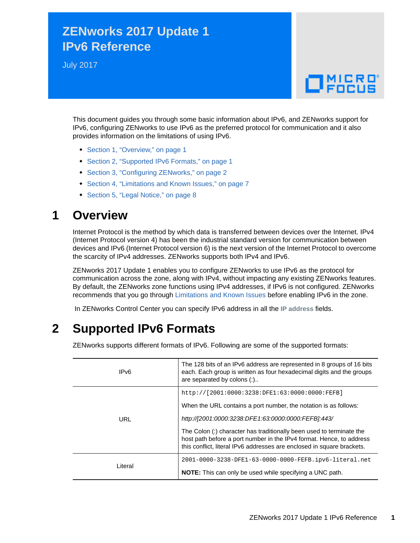# **ZENworks 2017 Update 1 IPv6 Reference**

July 2017



This document guides you through some basic information about IPv6, and ZENworks support for IPv6, configuring ZENworks to use IPv6 as the preferred protocol for communication and it also provides information on the limitations of using IPv6.

- [Section 1, "Overview," on page 1](#page-0-0)
- [Section 2, "Supported IPv6 Formats," on page 1](#page-0-1)
- [Section 3, "Configuring ZENworks," on page 2](#page-1-0)
- [Section 4, "Limitations and Known Issues," on page 7](#page-6-0)
- [Section 5, "Legal Notice," on page 8](#page-7-0)

# <span id="page-0-0"></span>**1 Overview**

Internet Protocol is the method by which data is transferred between devices over the Internet. IPv4 (Internet Protocol version 4) has been the industrial standard version for communication between devices and IPv6 (Internet Protocol version 6) is the next version of the Internet Protocol to overcome the scarcity of IPv4 addresses. ZENworks supports both IPv4 and IPv6.

ZENworks 2017 Update 1 enables you to configure ZENworks to use IPv6 as the protocol for communication across the zone, along with IPv4, without impacting any existing ZENworks features. By default, the ZENworks zone functions using IPv4 addresses, if IPv6 is not configured. ZENworks recommends that you go through [Limitations and Known Issues](#page-6-0) before enabling IPv6 in the zone.

In ZENworks Control Center you can specify IPv6 address in all the **IP address** fields.

# <span id="page-0-1"></span>**2 Supported IPv6 Formats**

ZENworks supports different formats of IPv6. Following are some of the supported formats:

| IPv6    | The 128 bits of an IPv6 address are represented in 8 groups of 16 bits<br>each. Each group is written as four hexadecimal digits and the groups<br>are separated by colons (:)                                         |  |
|---------|------------------------------------------------------------------------------------------------------------------------------------------------------------------------------------------------------------------------|--|
| URL     | http://[2001:0000:3238:DFE1:63:0000:0000:FEFB]                                                                                                                                                                         |  |
|         | When the URL contains a port number, the notation is as follows:                                                                                                                                                       |  |
|         | http://[2001:0000:3238:DFE1:63:0000:0000:FEFB]:443/                                                                                                                                                                    |  |
|         | The Colon (:) character has traditionally been used to terminate the<br>host path before a port number in the IPv4 format. Hence, to address<br>this conflict, literal IPv6 addresses are enclosed in square brackets. |  |
| Literal | 2001-0000-3238-DFE1-63-0000-0000-FEFB.ipv6-literal.net                                                                                                                                                                 |  |
|         | <b>NOTE:</b> This can only be used while specifying a UNC path.                                                                                                                                                        |  |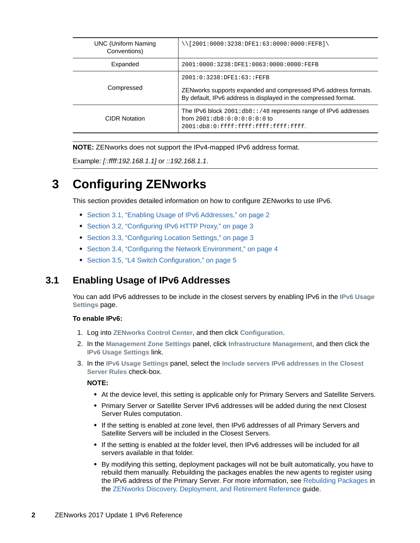| <b>UNC (Uniform Naming)</b><br>Conventions) | $\setminus$ [2001:0000:3238:DFE1:63:0000:0000:FEFB] $\setminus$                                                                                                  |  |
|---------------------------------------------|------------------------------------------------------------------------------------------------------------------------------------------------------------------|--|
| Expanded                                    | 2001:0000:3238:DFE1:0063:0000:0000:FEFB                                                                                                                          |  |
| Compressed                                  | 2001:0:3238:DFE1:63::FEFB<br>ZEN works supports expanded and compressed IPv6 address formats.<br>By default, IPv6 address is displayed in the compressed format. |  |
| <b>CIDR Notation</b>                        | The IPv6 block 2001:db8::/48 represents range of IPv6 addresses<br>from $2001:db8:0:0:0:0:0:0$<br>2001:db8:0:ffff:ffff:ffff:ffff:ffff:                           |  |

**NOTE:** ZENworks does not support the IPv4-mapped IPv6 address format.

Example: *[::ffff:192.168.1.1]* or *::192.168.1.1*.

# <span id="page-1-0"></span>**3 Configuring ZENworks**

This section provides detailed information on how to configure ZENworks to use IPv6.

- [Section 3.1, "Enabling Usage of IPv6 Addresses," on page 2](#page-1-1)
- [Section 3.2, "Configuring IPv6 HTTP Proxy," on page 3](#page-2-0)
- [Section 3.3, "Configuring Location Settings," on page 3](#page-2-1)
- [Section 3.4, "Configuring the Network Environment," on page 4](#page-3-0)
- [Section 3.5, "L4 Switch Configuration," on page 5](#page-4-0)

## <span id="page-1-1"></span>**3.1 Enabling Usage of IPv6 Addresses**

You can add IPv6 addresses to be include in the closest servers by enabling IPv6 in the **IPv6 Usage Settings** page.

#### **To enable IPv6:**

- 1. Log into **ZENworks Control Center**, and then click **Configuration**.
- 2. In the **Management Zone Settings** panel, click **Infrastructure Management**, and then click the **IPv6 Usage Settings** link.
- 3. In the **IPv6 Usage Settings** panel, select the **Include servers IPv6 addresses in the Closest Server Rules** check-box.

#### **NOTE:**

- At the device level, this setting is applicable only for Primary Servers and Satellite Servers.
- Primary Server or Satellite Server IPv6 addresses will be added during the next Closest Server Rules computation.
- If the setting is enabled at zone level, then IPv6 addresses of all Primary Servers and Satellite Servers will be included in the Closest Servers.
- If the setting is enabled at the folder level, then IPv6 addresses will be included for all servers available in that folder.
- By modifying this setting, deployment packages will not be built automatically, you have to rebuild them manually. Rebuilding the packages enables the new agents to register using the IPv6 address of the Primary Server. For more information, see [Rebuilding Packages](https://www.novell.com/documentation/zenworks2017/pdfdoc/zen_discovery_deployment/zen_discovery_deployment.pdf#bjda39p) in the [ZENworks Discovery, Deployment, and Retirement Reference](https://www.novell.com/documentation/zenworks2017/pdfdoc/zen_discovery_deployment/zen_discovery_deployment.pdf#bookinfo) guide.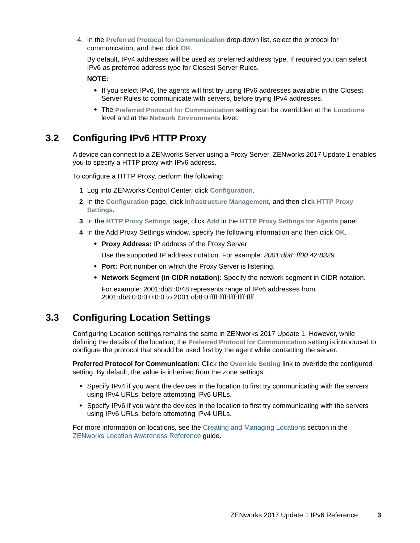4. In the **Preferred Protocol for Communication** drop-down list, select the protocol for communication, and then click **OK**.

By default, IPv4 addresses will be used as preferred address type. If required you can select IPv6 as preferred address type for Closest Server Rules.

#### **NOTE:**

- If you select IPv6, the agents will first try using IPv6 addresses available in the Closest Server Rules to communicate with servers, before trying IPv4 addresses.
- The **Preferred Protocol for Communication** setting can be overridden at the **Locations** level and at the **Network Environments** level.

## <span id="page-2-0"></span>**3.2 Configuring IPv6 HTTP Proxy**

A device can connect to a ZENworks Server using a Proxy Server. ZENworks 2017 Update 1 enables you to specify a HTTP proxy with IPv6 address.

To configure a HTTP Proxy, perform the following:

- **1** Log into ZENworks Control Center, click **Configuration**.
- **2** In the **Configuration** page, click **Infrastructure Management**, and then click **HTTP Proxy Settings**.
- **3** In the **HTTP Proxy Settings** page, click **Add** in the **HTTP Proxy Settings for Agents** panel.
- **4** In the Add Proxy Settings window, specify the following information and then click **OK**.
	- **Proxy Address:** IP address of the Proxy Server

Use the supported IP address notation. For example: *2001:db8::ff00:42:8329*

- **Port:** Port number on which the Proxy Server is listening.
- **Network Segment (in CIDR notation):** Specify the network segment in CIDR notation.

For example: 2001:db8::0/48 represents range of IPv6 addresses from 2001:db8:0:0:0:0:0:0 to 2001:db8:0:ffff:ffff:ffff:ffff:ffff.

## <span id="page-2-1"></span>**3.3 Configuring Location Settings**

Configuring Location settings remains the same in ZENworks 2017 Update 1. However, while defining the details of the location, the **Preferred Protocol for Communication** setting is introduced to configure the protocol that should be used first by the agent while contacting the server.

**Preferred Protocol for Communication:** Click the **Override Setting** link to override the configured setting. By default, the value is inherited from the zone settings.

- Specify IPv4 if you want the devices in the location to first try communicating with the servers using IPv4 URLs, before attempting IPv6 URLs.
- Specify IPv6 if you want the devices in the location to first try communicating with the servers using IPv6 URLs, before attempting IPv4 URLs.

For more information on locations, see the [Creating and Managing Locations](https://www.novell.com/documentation/zenworks2017/pdfdoc/zen_sys_location/zen_sys_location.pdf#boul03n) section in the [ZENworks Location Awareness Reference](https://www.novell.com/documentation/zenworks2017/pdfdoc/zen_sys_location/zen_sys_location.pdf#bookinfo) guide.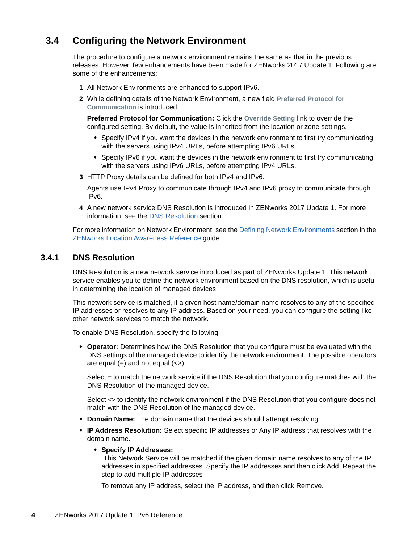# <span id="page-3-0"></span>**3.4 Configuring the Network Environment**

The procedure to configure a network environment remains the same as that in the previous releases. However, few enhancements have been made for ZENworks 2017 Update 1. Following are some of the enhancements:

- **1** All Network Environments are enhanced to support IPv6.
- **2** While defining details of the Network Environment, a new field **Preferred Protocol for Communication** is introduced.

**Preferred Protocol for Communication:** Click the **Override Setting** link to override the configured setting. By default, the value is inherited from the location or zone settings.

- Specify IPv4 if you want the devices in the network environment to first try communicating with the servers using IPv4 URLs, before attempting IPv6 URLs.
- Specify IPv6 if you want the devices in the network environment to first try communicating with the servers using IPv6 URLs, before attempting IPv4 URLs.
- **3** HTTP Proxy details can be defined for both IPv4 and IPv6.

Agents use IPv4 Proxy to communicate through IPv4 and IPv6 proxy to communicate through IPv6.

**4** A new network service DNS Resolution is introduced in ZENworks 2017 Update 1. For more information, see the [DNS Resolution](#page-3-1) section.

For more information on Network Environment, see the [Defining Network Environments](https://www.novell.com/documentation/zenworks2017/pdfdoc/zen_sys_location/zen_sys_location.pdf#brxyrua) section in the [ZENworks Location Awareness Reference](https://www.novell.com/documentation/zenworks2017/pdfdoc/zen_sys_location/zen_sys_location.pdf#bookinfo) guide.

### <span id="page-3-1"></span>**3.4.1 DNS Resolution**

DNS Resolution is a new network service introduced as part of ZENworks Update 1. This network service enables you to define the network environment based on the DNS resolution, which is useful in determining the location of managed devices.

This network service is matched, if a given host name/domain name resolves to any of the specified IP addresses or resolves to any IP address. Based on your need, you can configure the setting like other network services to match the network.

To enable DNS Resolution, specify the following:

 **Operator:** Determines how the DNS Resolution that you configure must be evaluated with the DNS settings of the managed device to identify the network environment. The possible operators are equal  $(=)$  and not equal  $(<=)$ .

Select = to match the network service if the DNS Resolution that you configure matches with the DNS Resolution of the managed device.

Select <> to identify the network environment if the DNS Resolution that you configure does not match with the DNS Resolution of the managed device.

- **Domain Name:** The domain name that the devices should attempt resolving.
- **IP Address Resolution:** Select specific IP addresses or Any IP address that resolves with the domain name.

#### **Specify IP Addresses:**

This Network Service will be matched if the given domain name resolves to any of the IP addresses in specified addresses. Specify the IP addresses and then click Add. Repeat the step to add multiple IP addresses

To remove any IP address, select the IP address, and then click Remove.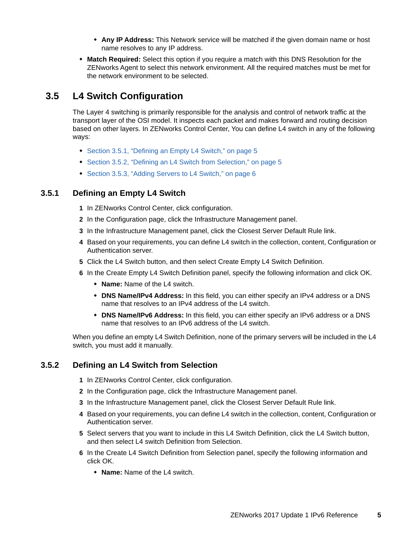- **Any IP Address:** This Network service will be matched if the given domain name or host name resolves to any IP address.
- **Match Required:** Select this option if you require a match with this DNS Resolution for the ZENworks Agent to select this network environment. All the required matches must be met for the network environment to be selected.

# <span id="page-4-0"></span>**3.5 L4 Switch Configuration**

The Layer 4 switching is primarily responsible for the analysis and control of network traffic at the transport layer of the OSI model. It inspects each packet and makes forward and routing decision based on other layers. In ZENworks Control Center, You can define L4 switch in any of the following ways:

- [Section 3.5.1, "Defining an Empty L4 Switch," on page 5](#page-4-1)
- [Section 3.5.2, "Defining an L4 Switch from Selection," on page 5](#page-4-2)
- [Section 3.5.3, "Adding Servers to L4 Switch," on page 6](#page-5-0)

### <span id="page-4-1"></span>**3.5.1 Defining an Empty L4 Switch**

- **1** In ZENworks Control Center, click configuration.
- **2** In the Configuration page, click the Infrastructure Management panel.
- **3** In the Infrastructure Management panel, click the Closest Server Default Rule link.
- **4** Based on your requirements, you can define L4 switch in the collection, content, Configuration or Authentication server.
- **5** Click the L4 Switch button, and then select Create Empty L4 Switch Definition.
- **6** In the Create Empty L4 Switch Definition panel, specify the following information and click OK.
	- **Name:** Name of the L4 switch.
	- **DNS Name/IPv4 Address:** In this field, you can either specify an IPv4 address or a DNS name that resolves to an IPv4 address of the L4 switch.
	- **DNS Name/IPv6 Address:** In this field, you can either specify an IPv6 address or a DNS name that resolves to an IPv6 address of the L4 switch.

When you define an empty L4 Switch Definition, none of the primary servers will be included in the L4 switch, you must add it manually.

### <span id="page-4-2"></span>**3.5.2 Defining an L4 Switch from Selection**

- **1** In ZENworks Control Center, click configuration.
- **2** In the Configuration page, click the Infrastructure Management panel.
- **3** In the Infrastructure Management panel, click the Closest Server Default Rule link.
- **4** Based on your requirements, you can define L4 switch in the collection, content, Configuration or Authentication server.
- **5** Select servers that you want to include in this L4 Switch Definition, click the L4 Switch button, and then select L4 switch Definition from Selection.
- **6** In the Create L4 Switch Definition from Selection panel, specify the following information and click OK.
	- **Name:** Name of the L4 switch.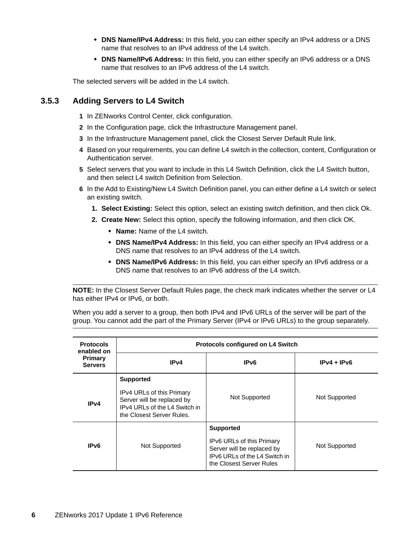- **DNS Name/IPv4 Address:** In this field, you can either specify an IPv4 address or a DNS name that resolves to an IPv4 address of the L4 switch.
- **DNS Name/IPv6 Address:** In this field, you can either specify an IPv6 address or a DNS name that resolves to an IPv6 address of the L4 switch.

The selected servers will be added in the L4 switch.

### <span id="page-5-0"></span>**3.5.3 Adding Servers to L4 Switch**

- **1** In ZENworks Control Center, click configuration.
- **2** In the Configuration page, click the Infrastructure Management panel.
- **3** In the Infrastructure Management panel, click the Closest Server Default Rule link.
- **4** Based on your requirements, you can define L4 switch in the collection, content, Configuration or Authentication server.
- **5** Select servers that you want to include in this L4 Switch Definition, click the L4 Switch button, and then select L4 switch Definition from Selection.
- **6** In the Add to Existing/New L4 Switch Definition panel, you can either define a L4 switch or select an existing switch.
	- **1. Select Existing:** Select this option, select an existing switch definition, and then click Ok.
	- **2. Create New:** Select this option, specify the following information, and then click OK.
		- **Name:** Name of the L4 switch.
		- **DNS Name/IPv4 Address:** In this field, you can either specify an IPv4 address or a DNS name that resolves to an IPv4 address of the L4 switch.
		- **DNS Name/IPv6 Address:** In this field, you can either specify an IPv6 address or a DNS name that resolves to an IPv6 address of the L4 switch.

**NOTE:** In the Closest Server Default Rules page, the check mark indicates whether the server or L4 has either IPv4 or IPv6, or both.

When you add a server to a group, then both IPv4 and IPv6 URLs of the server will be part of the group. You cannot add the part of the Primary Server (IPv4 or IPv6 URLs) to the group separately.

| <b>Protocols</b><br>enabled on   | <b>Protocols configured on L4 Switch</b>                                                                                                  |                                                                                                                                                 |               |  |
|----------------------------------|-------------------------------------------------------------------------------------------------------------------------------------------|-------------------------------------------------------------------------------------------------------------------------------------------------|---------------|--|
| <b>Primary</b><br><b>Servers</b> | IP <sub>v4</sub>                                                                                                                          | IP <sub>v6</sub>                                                                                                                                | $IPv4 + IPv6$ |  |
| IP <sub>v4</sub>                 | <b>Supported</b><br>IPv4 URLs of this Primary<br>Server will be replaced by<br>IPv4 URLs of the L4 Switch in<br>the Closest Server Rules. | Not Supported                                                                                                                                   | Not Supported |  |
| IP <sub>v6</sub>                 | Not Supported                                                                                                                             | <b>Supported</b><br><b>IPv6 URLs of this Primary</b><br>Server will be replaced by<br>IPv6 URLs of the L4 Switch in<br>the Closest Server Rules | Not Supported |  |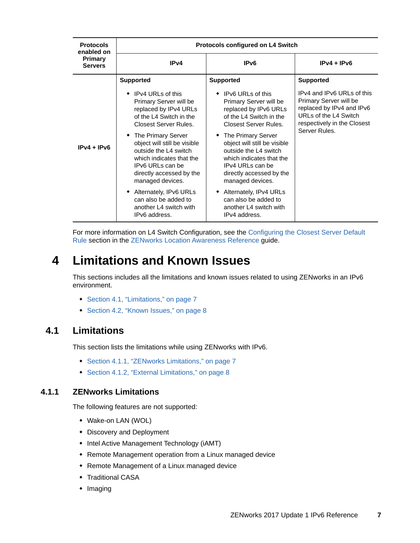| <b>Protocols</b><br>enabled on | <b>Protocols configured on L4 Switch</b>                                                                                                                                      |                                                                                                                                                                               |                                                                                                                                                                                |  |
|--------------------------------|-------------------------------------------------------------------------------------------------------------------------------------------------------------------------------|-------------------------------------------------------------------------------------------------------------------------------------------------------------------------------|--------------------------------------------------------------------------------------------------------------------------------------------------------------------------------|--|
| Primary<br><b>Servers</b>      | IPv4                                                                                                                                                                          | IP <sub>v6</sub>                                                                                                                                                              | $IPv4 + IPv6$                                                                                                                                                                  |  |
| $IPv4 + IPv6$                  | <b>Supported</b><br>$\bullet$ IPv4 URLs of this<br>Primary Server will be                                                                                                     | <b>Supported</b><br>$\bullet$ IPv6 URLs of this<br>Primary Server will be                                                                                                     | <b>Supported</b><br>IPv4 and IPv6 URLs of this<br>Primary Server will be<br>replaced by IPv4 and IPv6<br>URLs of the L4 Switch<br>respectively in the Closest<br>Server Rules. |  |
|                                | replaced by IPv4 URLs<br>of the L4 Switch in the<br>Closest Server Rules.                                                                                                     | replaced by IPv6 URLs<br>of the L4 Switch in the<br>Closest Server Rules.                                                                                                     |                                                                                                                                                                                |  |
|                                | • The Primary Server<br>object will still be visible<br>outside the L4 switch<br>which indicates that the<br>IPv6 URLs can be<br>directly accessed by the<br>managed devices. | • The Primary Server<br>object will still be visible<br>outside the L4 switch<br>which indicates that the<br>IPv4 URLs can be<br>directly accessed by the<br>managed devices. |                                                                                                                                                                                |  |
|                                | Alternately, IPv6 URLs<br>can also be added to<br>another L4 switch with<br>IPv6 address.                                                                                     | Alternately, IPv4 URLs<br>can also be added to<br>another L4 switch with<br>IPv4 address.                                                                                     |                                                                                                                                                                                |  |

For more information on L4 Switch Configuration, see the [Configuring the Closest Server Default](https://www.novell.com/documentation/zenworks2017/pdfdoc/zen_sys_location/zen_sys_location.pdf#bafj5yk)  Rule section in the [ZENworks Location Awareness Reference](https://www.novell.com/documentation/zenworks2017/pdfdoc/zen_sys_location/zen_sys_location.pdf#bookinfo) guide.

# <span id="page-6-0"></span>**4 Limitations and Known Issues**

This sections includes all the limitations and known issues related to using ZENworks in an IPv6 environment.

- [Section 4.1, "Limitations," on page 7](#page-6-1)
- [Section 4.2, "Known Issues," on page 8](#page-7-1)

## <span id="page-6-1"></span>**4.1 Limitations**

This section lists the limitations while using ZENworks with IPv6.

- [Section 4.1.1, "ZENworks Limitations," on page 7](#page-6-2)
- [Section 4.1.2, "External Limitations," on page 8](#page-7-2)

### <span id="page-6-2"></span>**4.1.1 ZENworks Limitations**

The following features are not supported:

- Wake-on LAN (WOL)
- Discovery and Deployment
- Intel Active Management Technology (iAMT)
- Remote Management operation from a Linux managed device
- Remote Management of a Linux managed device
- **+ Traditional CASA**
- $\bullet$  Imaging